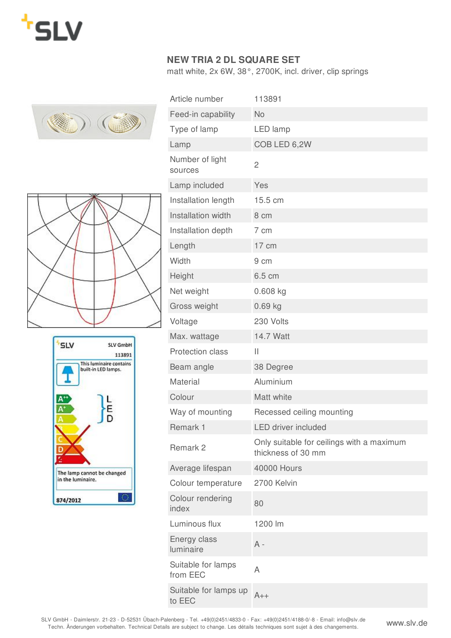

## **NEW TRIA 2 DL SQUARE SET**

matt white, 2x 6W, 38°, 2700K, incl. driver, clip springs







| Article number                  | 113891                                                          |
|---------------------------------|-----------------------------------------------------------------|
| Feed-in capability              | <b>No</b>                                                       |
| Type of lamp                    | LED lamp                                                        |
| Lamp                            | COB LED 6,2W                                                    |
| Number of light<br>sources      | $\overline{c}$                                                  |
| Lamp included                   | Yes                                                             |
| Installation length             | 15.5 cm                                                         |
| Installation width              | 8 cm                                                            |
| Installation depth              | 7 cm                                                            |
| Length                          | 17 cm                                                           |
| Width                           | 9 cm                                                            |
| Height                          | 6.5 cm                                                          |
| Net weight                      | $0.608$ kg                                                      |
| Gross weight                    | $0.69$ kg                                                       |
| Voltage                         | 230 Volts                                                       |
| Max. wattage                    | 14.7 Watt                                                       |
| <b>Protection class</b>         | Ш                                                               |
| Beam angle                      | 38 Degree                                                       |
| Material                        | Aluminium                                                       |
| Colour                          | Matt white                                                      |
| Way of mounting                 | Recessed ceiling mounting                                       |
| Remark 1                        | <b>LED driver included</b>                                      |
| Remark 2                        | Only suitable for ceilings with a maximum<br>thickness of 30 mm |
| Average lifespan                | <b>40000 Hours</b>                                              |
| Colour temperature              | 2700 Kelvin                                                     |
| Colour rendering<br>index       | 80                                                              |
| Luminous flux                   | 1200 lm                                                         |
| Energy class<br>luminaire       | $A -$                                                           |
| Suitable for lamps<br>from EEC  | Α                                                               |
| Suitable for lamps up<br>to EEC | $A++$                                                           |